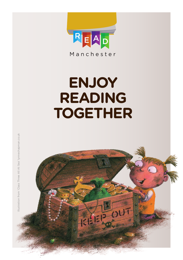

# **ENJOY READING TOGETHER**

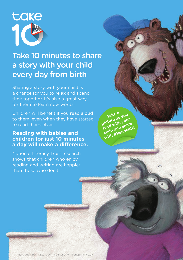

### Take 10 minutes to share a story with your child every day from birth

Sharing a story with your child is a chance for you to relax and spend time together. It's also a great way for them to learn new words.

Children will benefit if you read aloud to them, even when they have started to read themselves.

Take a<br>picture as your<br>picture as your **read with your child and share with #ReadMCR**

#### **Reading with babies and children for just 10 minutes a day will make a difference.**

National Literacy Trust research shows that children who enjoy reading and writing are happier than those who don't.

Illustration from 'Bears On The Stairs' lynnechapman.co.uk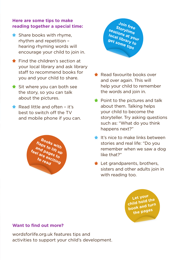#### **Here are some tips to make reading together a special time:**

- Share books with rhyme, rhythm and repetition – hearing rhyming words will encourage your child to join in.
- Find the children's section at your local library and ask library staff to recommend books for you and your child to share.
- Sit where you can both see the story, so you can talk about the pictures.
- Read little and often it's best to switch off the TV and mobile phone if you can.





- Read favourite books over and over again. This will help your child to remember the words and join in.
- $\bigstar$  Point to the pictures and talk about them. Talking helps your child to become the storyteller. Try asking questions such as: "What do you think happens next?"
- $\bigstar$  It's nice to make links between stories and real life: "Do you remember when we saw a dog like that?"
- $\bigstar$  Let grandparents, brothers, sisters and other adults join in with reading too.

**Let your child hold the book and turn the pages**

#### **Want to find out more?**

wordsforlife.org.uk features tips and activities to support your child's development.